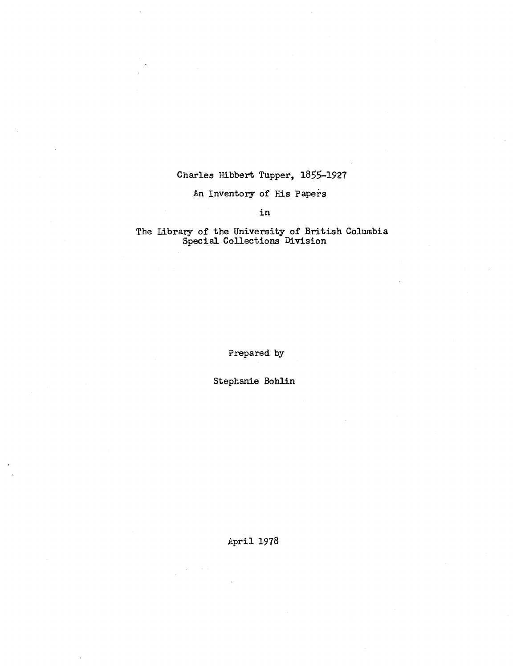## Charles Hibbert Tupper, 1855-1927

## An Inventory of His Papers

in

### The Library of the University of British Columbia Special Collections Division

Prepared by

Stephanie Bohlin

April 1978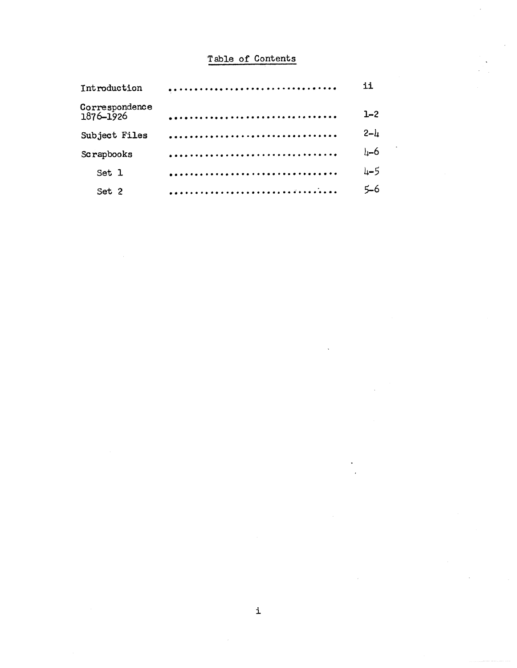## Table of Contents

| Introduction                | ii      |
|-----------------------------|---------|
| Correspondence<br>1876–1926 | $1 - 2$ |
| Subject Files               | $2 - L$ |
| Scrapbooks                  | հ–6     |
| Set 1                       | հ–2     |
| Set 2                       | 5–6     |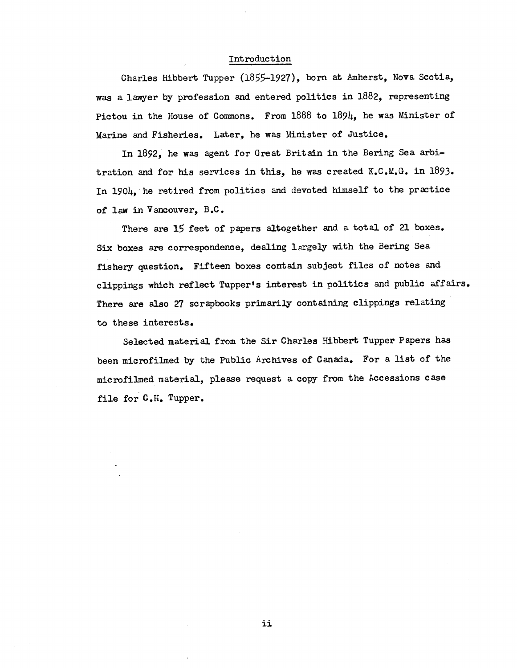#### Introduction

Charles Hibbert Tupper (1855-1927), born at Amherst, Nova Scotia, was a lawyer by profession and entered politics in 1882, representing Pictou in the House of Commons. From 1888 to 1894, he was Minister of Marine and Fisheries. Later, he was Minister of Justice.

In 1892, he was agent for Great Britain in the Bering Sea arbitration and for his services in this, he was created K.C.M.G. in 1893. In 1904, he retired from politics and devoted himself to the practice of law in Vancouver, B.C.

There are 15 feet of papers altogether and a total of 21 boxes. Six boxes are correspondence, dealing largely with the Bering Sea fishery question. Fifteen boxes contain subject files of notes and clippings which reflect Tupper's interest in politics and public affairs. There are also 27 scrapbooks primarily containing clippings relating to these interests .

Selected material from the Sir Charles Hibbert Tupper Papers has been microfilmed by the Public Archives of Canada. For a list of the microfilmed material, please request a copy from the Accessions case file for C.H. Tupper.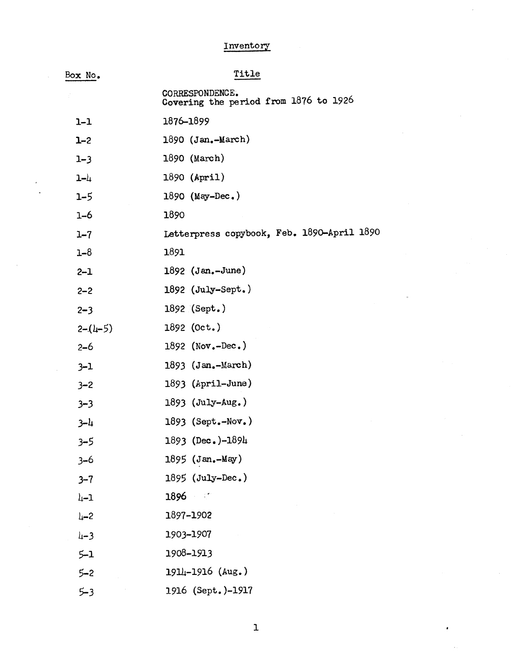## Inventory

| Box No.     | Title                                                    |  |  |
|-------------|----------------------------------------------------------|--|--|
|             | CORRESPONDENCE.<br>Covering the period from 1876 to 1926 |  |  |
| $1 - 1$     | 1876-1899                                                |  |  |
| $1 - 2$     | $1890$ (Jan.-March)                                      |  |  |
| $1 - 3$     | $1890$ (March)                                           |  |  |
| $1 - 1$     | 1890 (April)                                             |  |  |
| $1 - 5$     | $1890$ (May-Dec.)                                        |  |  |
| $1 - 6$     | 1890                                                     |  |  |
| $1 - 7$     | Letterpress copybook, Feb. 1890-April 1890               |  |  |
| $1 - 8$     | 1891                                                     |  |  |
| $2 - 1$     | $1892$ (Jan.-June)                                       |  |  |
| $2 - 2$     | $1892$ (July-Sept.)                                      |  |  |
| $2 - 3$     | 1892 (Sept.)                                             |  |  |
| $2-(\mu-5)$ | $1892$ (Oct.)                                            |  |  |
| $2 - 6$     | $1892$ (Nov.-Dec.)                                       |  |  |
| $3 - 1$     | $1893$ (Jan.-March)                                      |  |  |
| $3 - 2$     | 1893 (April-June)                                        |  |  |
| $3 - 3$     | $1893$ (July-Aug.)                                       |  |  |
| $3 - 1$     | $1893$ (Sept.-Nov.)                                      |  |  |
| 3–5         | 1893 (Dec.)-1894                                         |  |  |
| $3 - 6$     | 1895 (Jan.-May)                                          |  |  |
| $3 - 7$     | 1895 (July-Dec.)                                         |  |  |
| $l_{+}$ -1  | 1896                                                     |  |  |
| $L - 2$     | 1897-1902                                                |  |  |
| $4 - 3$     | 1903-1907                                                |  |  |
| $5 - 1$     | 1908-1913                                                |  |  |
| $5 - 2$     | 1914-1916 (Aug.)                                         |  |  |
| $5 - 3$     | 1916 (Sept.)-1917                                        |  |  |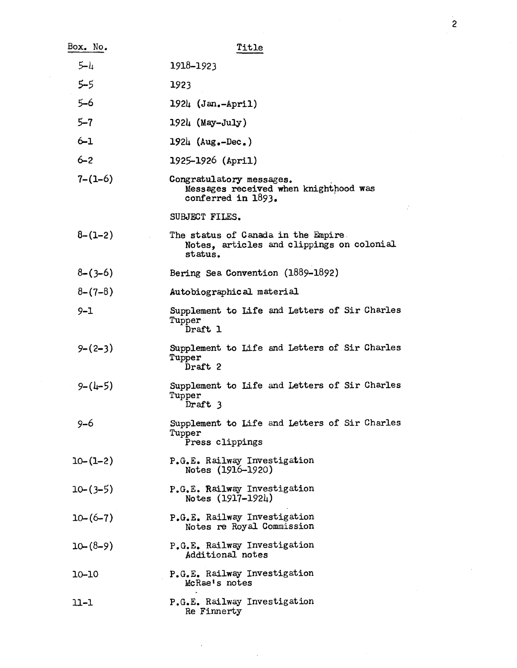| Box. No.   | Title                                                                                       |
|------------|---------------------------------------------------------------------------------------------|
| $5 - 1$    | 1918-1923                                                                                   |
| $5 - 5$    | 1923                                                                                        |
| $5 - 6$    | $192\mu$ (Jan.-April)                                                                       |
| $5 - 7$    | $192\mu$ (May-July)                                                                         |
| $6 - 1$    | $192\mu$ (Aug.-Dec.)                                                                        |
| $6 - 2$    | 1925-1926 (April)                                                                           |
| $7-(1-6)$  | Congratulatory messages.<br>Messages received when knighthood was<br>conferred in $1893.$   |
|            | SUBJECT FILES.                                                                              |
| $8-(1-2)$  | The status of Canada in the Empire.<br>Notes, articles and clippings on colonial<br>status. |
| $8-(3-6)$  | Bering Sea Convention (1889-1892)                                                           |
| $8-(7-8)$  | Autobiographical material                                                                   |
| $9 - 1$    | Supplement to Life and Letters of Sir Charles<br>Tupper<br>Draft 1                          |
| $9-(2-3)$  | Supplement to Life and Letters of Sir Charles<br>Tupper<br>Draft 2                          |
| $9-(4-5)$  | Supplement to Life and Letters of Sir Charles<br>Tupper<br>Draft 3                          |
| $9 - 6$    | Supplement to Life and Letters of Sir Charles<br>Tupper<br>Press clippings                  |
| $10-(1-2)$ | P.G.E. Railway Investigation<br>Notes (1916-1920)                                           |
| $10-(3-5)$ | P.G.E. Railway Investigation<br>Notes (1917-1924)                                           |
| $10-(6-7)$ | P.G.E. Railway Investigation<br>Notes re Royal Commission                                   |
| $10-(8-9)$ | P.G.E. Railway Investigation<br>Additional notes                                            |
| $10 - 10$  | P.G.E. Railway Investigation<br>McRae's notes                                               |
| $11 - 1$   | P.G.E. Railway Investigation<br>Re Finnerty                                                 |

 $\bar{z}$ 

*2*

Ž,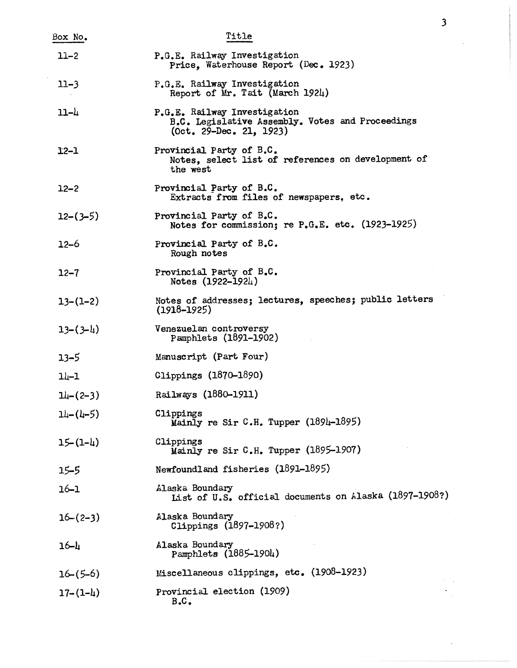| Box No.        | Title                                                                                                         |
|----------------|---------------------------------------------------------------------------------------------------------------|
| $11 - 2$       | P.G.E. Railway Investigation<br>Price. Waterhouse Report (Dec. 1923)                                          |
| $11 - 3$       | P.G.E. Railway Investigation<br>Report of Mr. Tait (March 1924)                                               |
| $11 - 4$       | P.G.E. Railway Investigation<br>B.C. Legislative Assembly. Votes and Proceedings<br>$(0ct. 29-Dec. 21. 1923)$ |
| $12 - 1$       | Provincial Party of B.C.<br>Notes, select list of references on development of<br>the west                    |
| $12 - 2$       | Provincial Party of B.C.<br>Extracts from files of newspapers, etc.                                           |
| $12-(3-5)$     | Provincial Party of B.C.<br>Notes for commission; re P.G.E. etc. (1923-1925)                                  |
| $12 - 6$       | Provincial Party of B.C.<br>Rough notes                                                                       |
| $12 - 7$       | Provincial Party of B.C.<br>Notes $(1922 - 192)$                                                              |
| $13-(1-2)$     | Notes of addresses; lectures, speeches; public letters<br>$(1918 - 1925)$                                     |
| $13-(3-4)$     | Venezuelan controversy<br>Pamphlets (1891-1902)                                                               |
| $13 - 5$       | Manuscript (Part Four)                                                                                        |
| $14 - 1$       | Clippings (1870-1890)                                                                                         |
| $14-(2-3)$     | Railways (1880-1911)                                                                                          |
| $11 - (1 - 5)$ | Clippings<br>Mainly re Sir C.H. Tupper (1894-1895)                                                            |
| $15-(1-4)$     | Clippings<br>Mainly re Sir C.H. Tupper (1895-1907)                                                            |
| $15 - 5$       | Newfoundland fisheries (1891-1895)                                                                            |
| $16 - 1$       | Alaska Boundary<br>List of U.S. official documents on Alaska (1897-1908?)                                     |
| $16-(2-3)$     | Alaska Boundary<br>Clippings (1897-1908?)                                                                     |
| $16 - h$       | Alaska Boundary<br>Pamphlets (1885-1904)                                                                      |
| $16-(5-6)$     | Miscellaneous clippings, etc. (1908-1923)                                                                     |
| $17-(1-4)$     | Provincial election (1909)<br>B.C.                                                                            |

 $\overline{\mathbf{3}}$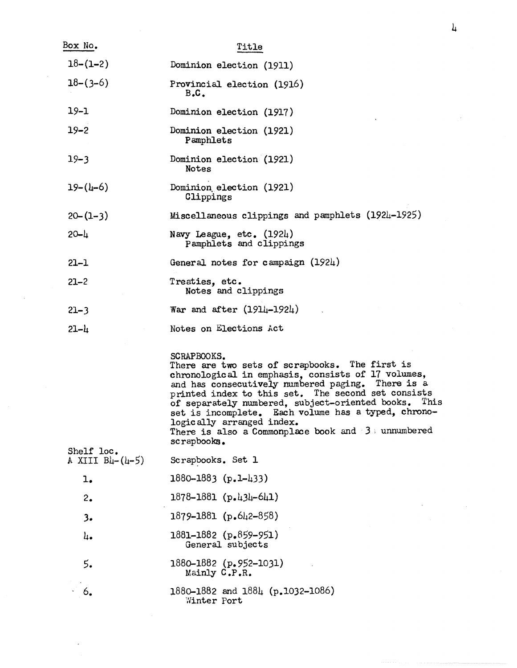| Box No.                              | Title                                                                                                                                                                                                                                                                                                                                                                                                                                           |
|--------------------------------------|-------------------------------------------------------------------------------------------------------------------------------------------------------------------------------------------------------------------------------------------------------------------------------------------------------------------------------------------------------------------------------------------------------------------------------------------------|
| $18 - (1 - 2)$                       | Dominion election (1911)                                                                                                                                                                                                                                                                                                                                                                                                                        |
| $18 - (3 - 6)$                       | Provincial election (1916)<br>B <sub>•</sub> G <sub>•</sub>                                                                                                                                                                                                                                                                                                                                                                                     |
| $19 - 1$                             | Dominion election (1917)                                                                                                                                                                                                                                                                                                                                                                                                                        |
| $19 - 2$                             | Dominion election (1921)<br>Pamphlets                                                                                                                                                                                                                                                                                                                                                                                                           |
| $19 - 3$                             | Dominion election (1921)<br>Notes                                                                                                                                                                                                                                                                                                                                                                                                               |
| $19-(4-6)$                           | Dominion election (1921)<br>Clippings                                                                                                                                                                                                                                                                                                                                                                                                           |
| $20-(1-3)$                           | Miscellaneous clippings and pamphlets (1924-1925)                                                                                                                                                                                                                                                                                                                                                                                               |
| $20 - 4$                             | Navy League, etc. $(1924)$<br>Pamphlets and clippings                                                                                                                                                                                                                                                                                                                                                                                           |
| $21 - 1$                             | General notes for campaign $(1924)$                                                                                                                                                                                                                                                                                                                                                                                                             |
| $21 - 2$                             | Treaties, etc.<br>Notes and clippings                                                                                                                                                                                                                                                                                                                                                                                                           |
| $21 - 3$                             | War and after $(1914 - 1924)$                                                                                                                                                                                                                                                                                                                                                                                                                   |
| $21 - 4$                             | Notes on Elections Act                                                                                                                                                                                                                                                                                                                                                                                                                          |
|                                      | SCRAPBOOKS.<br>There are two sets of scrapbooks. The first is<br>chronological in emphasis, consists of 17 volumes,<br>and has consecutively numbered paging. There is a<br>printed index to this set. The second set consists<br>of separately numbered, subject-oriented books. This<br>set is incomplete. Each volume has a typed, chrono-<br>logically arranged index.<br>There is also a Commonplace book and 3 aunnumbered<br>scrapbooks. |
| Shelf loc.<br>A XIII $B_4 - (4 - 5)$ | Scrapbooks. Set 1                                                                                                                                                                                                                                                                                                                                                                                                                               |
| ı.                                   | $1880 - 1883$ (p.1-433)                                                                                                                                                                                                                                                                                                                                                                                                                         |
| 2.                                   | $1878 - 1881$ (p.434-641)                                                                                                                                                                                                                                                                                                                                                                                                                       |
| 3.                                   | 1879–1881 (p.642–858)                                                                                                                                                                                                                                                                                                                                                                                                                           |
| 4.                                   | 1881-1882 (p.859-951)<br>General subjects                                                                                                                                                                                                                                                                                                                                                                                                       |
| 5.                                   | 1880–1882 (p.952–1031)<br>Mainly C.P.R.                                                                                                                                                                                                                                                                                                                                                                                                         |
| 6.                                   | 1880-1882 and 1884 (p.1032-1086)<br>Winter Port                                                                                                                                                                                                                                                                                                                                                                                                 |
|                                      |                                                                                                                                                                                                                                                                                                                                                                                                                                                 |

 $\mathcal{L}^{\mathcal{A}}$ 

 $\bar{\mathcal{A}}$ 

 $\mathbf{L}$ 

 $\frac{1}{2} \frac{1}{2} \frac{1}{2} \frac{1}{2}$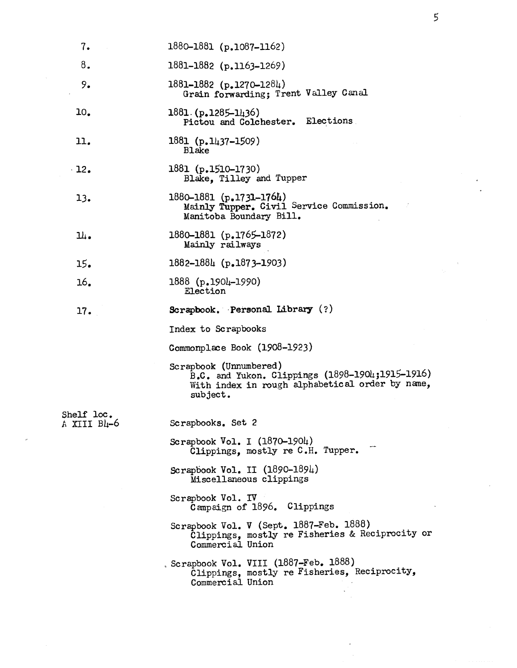| 7.                        | 1880-1881 (p.1087-1162)                                                                                                                  |  |  |
|---------------------------|------------------------------------------------------------------------------------------------------------------------------------------|--|--|
| 8.                        | 1881-1882 (p.1163-1269)                                                                                                                  |  |  |
| 9.                        | 1881-1882 $(p.1270-1284)$<br>Grain forwarding; Trent Valley Canal                                                                        |  |  |
| 10.                       | $1881. (p.1285 - 1436)$<br>Pictou and Colchester. Elections                                                                              |  |  |
| 11.                       | 1881 (p.1437–1509)<br><b>Blake</b>                                                                                                       |  |  |
| $\cdot$ 12.               | 1881 (p.1510-1730)<br>Blake, Tilley and Tupper                                                                                           |  |  |
| 13.                       | 1880-1881 (p.1731-1764)<br>Mainly Tupper. Civil Service Commission.<br>Manitoba Boundary Bill.                                           |  |  |
| ᄮ.                        | 1880-1881 (p.1765-1872)<br>Mainly railways                                                                                               |  |  |
| 15.                       | 1882-1884 (p.1873-1903)                                                                                                                  |  |  |
| 16.                       | 1888 (p.1904-1990)<br>Election                                                                                                           |  |  |
| 17.                       | Scrapbook. Personal Library (?)                                                                                                          |  |  |
|                           | Index to Scrapbooks                                                                                                                      |  |  |
|                           | Commonplace Book (1908-1923)                                                                                                             |  |  |
|                           | Scrapbook (Unnumbered)<br>B.C. and Yukon. Clippings (1898-1904;1915-1916)<br>With index in rough alphabetical order by name.<br>subject. |  |  |
| Shelf loc.<br>A XIII B4-6 | Scrapbooks. Set 2                                                                                                                        |  |  |
|                           | Scrapbook Vol. I (1870-1904)<br>Clippings, mostly re C.H. Tupper.                                                                        |  |  |
|                           | Scrapbook Vol. II (1890-1894)<br>Miscellaneous clippings                                                                                 |  |  |
|                           | Scrapbook Vol. IV<br>Campaign of 1896. Clippings                                                                                         |  |  |
|                           | Scrapbook Vol. V (Sept. $1887$ -Feb. $1888$ )<br>Clippings, mostly re Fisheries & Reciprocity or<br>Commercial Union                     |  |  |
|                           | Scrapbook Vol. VIII $(1887 - Feb. 1888)$<br>Clippings, mostly re Fisheries, Reciprocity,<br>Commercial Union                             |  |  |

5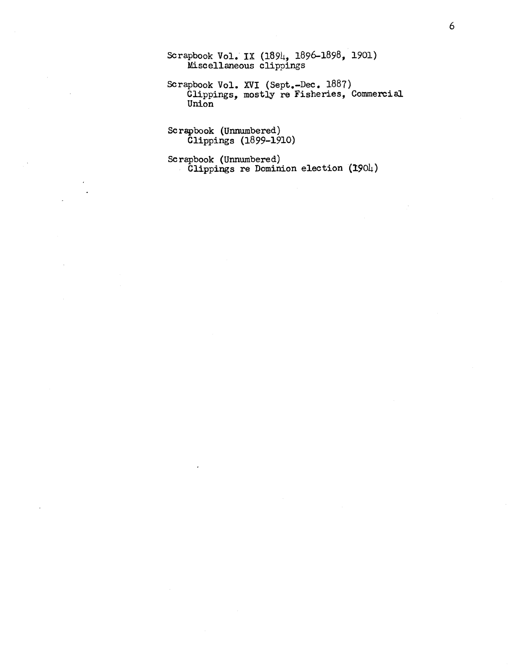Scrapbook Vol. IX (1894, 1896-1898, 1901) Miscellaneous clippings

Scrapbook Vol. XVI (Sept.-Dec. 1887) Clippings, mostly re Fisheries, Commercial Union

Scrapbook (Unnumbered ) Clippings (1899-1910)

Scrapbook (Unnumbered)<br>Clippings re Dominion election (1904)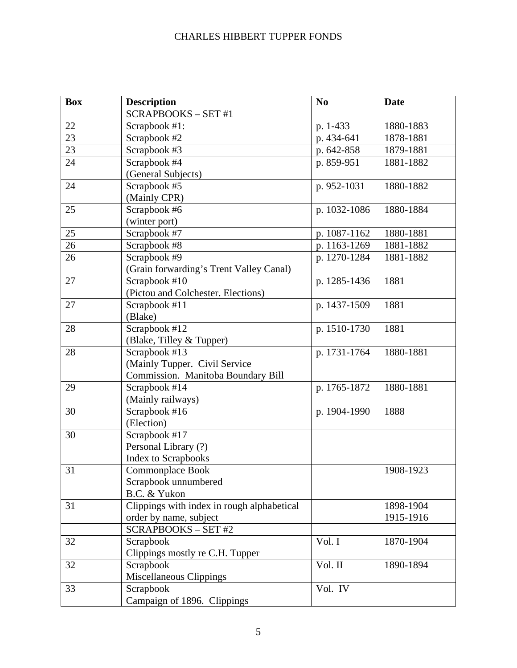# CHARLES HIBBERT TUPPER FONDS

| <b>Box</b> | <b>Description</b>                         | N <sub>0</sub> | <b>Date</b> |
|------------|--------------------------------------------|----------------|-------------|
|            | <b>SCRAPBOOKS - SET #1</b>                 |                |             |
| 22         | Scrapbook #1:                              | p. 1-433       | 1880-1883   |
| 23         | Scrapbook #2                               | p. 434-641     | 1878-1881   |
| 23         | Scrapbook #3                               | p. 642-858     | 1879-1881   |
| 24         | Scrapbook #4                               | p. 859-951     | 1881-1882   |
|            | (General Subjects)                         |                |             |
| 24         | Scrapbook #5                               | p. 952-1031    | 1880-1882   |
|            | (Mainly CPR)                               |                |             |
| 25         | Scrapbook #6                               | p. 1032-1086   | 1880-1884   |
|            | (winter port)                              |                |             |
| 25         | Scrapbook #7                               | p. 1087-1162   | 1880-1881   |
| 26         | Scrapbook #8                               | p. 1163-1269   | 1881-1882   |
| 26         | Scrapbook #9                               | p. 1270-1284   | 1881-1882   |
|            | (Grain forwarding's Trent Valley Canal)    |                |             |
| 27         | Scrapbook #10                              | p. 1285-1436   | 1881        |
|            | (Pictou and Colchester. Elections)         |                |             |
| 27         | Scrapbook #11                              | p. 1437-1509   | 1881        |
|            | (Blake)                                    |                |             |
| 28         | Scrapbook #12                              | p. 1510-1730   | 1881        |
|            | (Blake, Tilley & Tupper)                   |                |             |
| 28         | Scrapbook #13                              | p. 1731-1764   | 1880-1881   |
|            | (Mainly Tupper. Civil Service              |                |             |
|            | Commission. Manitoba Boundary Bill         |                |             |
| 29         | Scrapbook #14                              | p. 1765-1872   | 1880-1881   |
|            | (Mainly railways)                          |                |             |
| 30         | Scrapbook #16                              | p. 1904-1990   | 1888        |
|            | (Election)                                 |                |             |
| 30         | Scrapbook #17                              |                |             |
|            | Personal Library (?)                       |                |             |
|            | <b>Index to Scrapbooks</b>                 |                |             |
| 31         | Commonplace Book                           |                | 1908-1923   |
|            | Scrapbook unnumbered                       |                |             |
|            | B.C. & Yukon                               |                |             |
| 31         | Clippings with index in rough alphabetical |                | 1898-1904   |
|            | order by name, subject                     |                | 1915-1916   |
|            | <b>SCRAPBOOKS - SET #2</b>                 |                |             |
| 32         | Scrapbook                                  | Vol. I         | 1870-1904   |
|            | Clippings mostly re C.H. Tupper            |                |             |
| 32         | Scrapbook                                  | Vol. II        | 1890-1894   |
|            | Miscellaneous Clippings                    |                |             |
| 33         | Scrapbook                                  | Vol. IV        |             |
|            | Campaign of 1896. Clippings                |                |             |